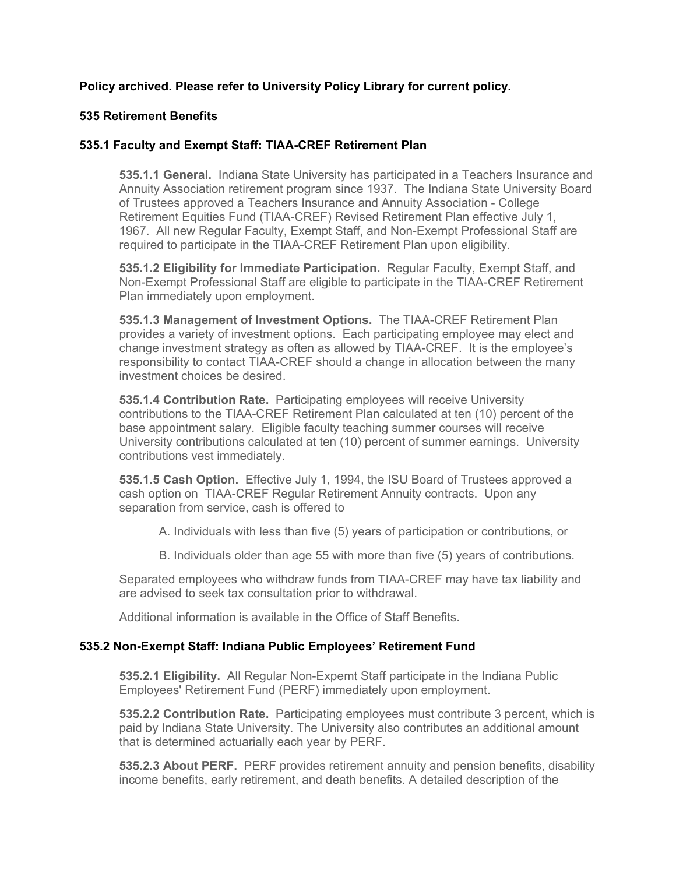# **Policy archived. Please refer to University Policy Library for current policy.**

#### **535 Retirement Benefits**

#### **535.1 Faculty and Exempt Staff: TIAA-CREF Retirement Plan**

**535.1.1 General.** Indiana State University has participated in a Teachers Insurance and Annuity Association retirement program since 1937. The Indiana State University Board of Trustees approved a Teachers Insurance and Annuity Association - College Retirement Equities Fund (TIAA-CREF) Revised Retirement Plan effective July 1, 1967. All new Regular Faculty, Exempt Staff, and Non-Exempt Professional Staff are required to participate in the TIAA-CREF Retirement Plan upon eligibility.

**535.1.2 Eligibility for Immediate Participation.** Regular Faculty, Exempt Staff, and Non-Exempt Professional Staff are eligible to participate in the TIAA-CREF Retirement Plan immediately upon employment.

**535.1.3 Management of Investment Options.** The TIAA-CREF Retirement Plan provides a variety of investment options. Each participating employee may elect and change investment strategy as often as allowed by TIAA-CREF. It is the employee's responsibility to contact TIAA-CREF should a change in allocation between the many investment choices be desired.

**535.1.4 Contribution Rate.** Participating employees will receive University contributions to the TIAA-CREF Retirement Plan calculated at ten (10) percent of the base appointment salary. Eligible faculty teaching summer courses will receive University contributions calculated at ten (10) percent of summer earnings. University contributions vest immediately.

**535.1.5 Cash Option.** Effective July 1, 1994, the ISU Board of Trustees approved a cash option on TIAA-CREF Regular Retirement Annuity contracts. Upon any separation from service, cash is offered to

A. Individuals with less than five (5) years of participation or contributions, or

B. Individuals older than age 55 with more than five (5) years of contributions.

Separated employees who withdraw funds from TIAA-CREF may have tax liability and are advised to seek tax consultation prior to withdrawal.

Additional information is available in the Office of Staff Benefits.

#### **535.2 Non-Exempt Staff: Indiana Public Employees' Retirement Fund**

**535.2.1 Eligibility.** All Regular Non-Expemt Staff participate in the Indiana Public Employees' Retirement Fund (PERF) immediately upon employment.

**535.2.2 Contribution Rate.** Participating employees must contribute 3 percent, which is paid by Indiana State University. The University also contributes an additional amount that is determined actuarially each year by PERF.

**535.2.3 About PERF.** PERF provides retirement annuity and pension benefits, disability income benefits, early retirement, and death benefits. A detailed description of the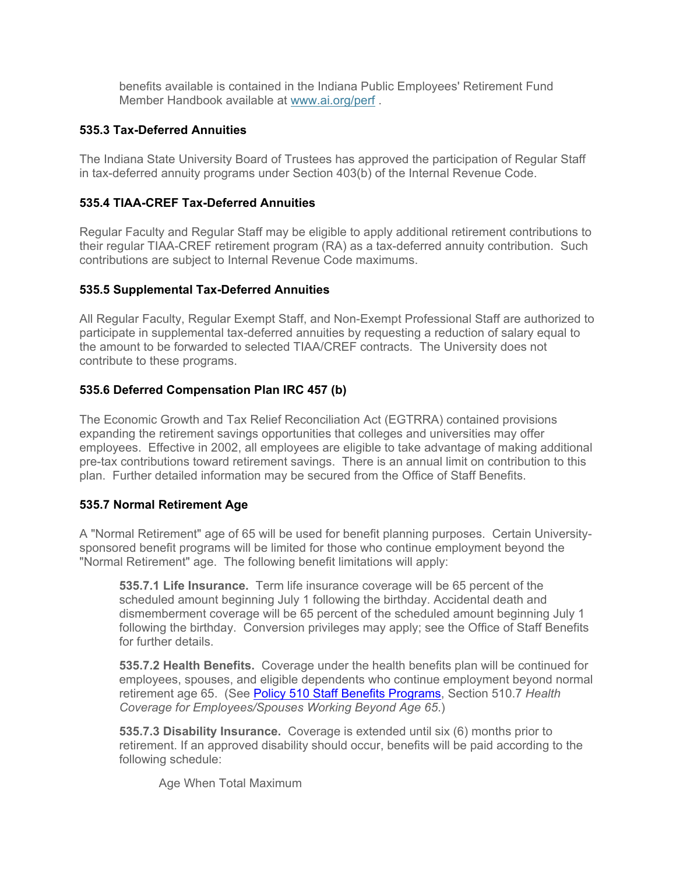benefits available is contained in the Indiana Public Employees' Retirement Fund Member Handbook available at www.ai.org/perf .

# **535.3 Tax-Deferred Annuities**

The Indiana State University Board of Trustees has approved the participation of Regular Staff in tax-deferred annuity programs under Section 403(b) of the Internal Revenue Code.

## **535.4 TIAA-CREF Tax-Deferred Annuities**

Regular Faculty and Regular Staff may be eligible to apply additional retirement contributions to their regular TIAA-CREF retirement program (RA) as a tax-deferred annuity contribution. Such contributions are subject to Internal Revenue Code maximums.

### **535.5 Supplemental Tax-Deferred Annuities**

All Regular Faculty, Regular Exempt Staff, and Non-Exempt Professional Staff are authorized to participate in supplemental tax-deferred annuities by requesting a reduction of salary equal to the amount to be forwarded to selected TIAA/CREF contracts. The University does not contribute to these programs.

# **535.6 Deferred Compensation Plan IRC 457 (b)**

The Economic Growth and Tax Relief Reconciliation Act (EGTRRA) contained provisions expanding the retirement savings opportunities that colleges and universities may offer employees. Effective in 2002, all employees are eligible to take advantage of making additional pre-tax contributions toward retirement savings. There is an annual limit on contribution to this plan. Further detailed information may be secured from the Office of Staff Benefits.

### **535.7 Normal Retirement Age**

A "Normal Retirement" age of 65 will be used for benefit planning purposes. Certain Universitysponsored benefit programs will be limited for those who continue employment beyond the "Normal Retirement" age. The following benefit limitations will apply:

**535.7.1 Life Insurance.** Term life insurance coverage will be 65 percent of the scheduled amount beginning July 1 following the birthday. Accidental death and dismemberment coverage will be 65 percent of the scheduled amount beginning July 1 following the birthday. Conversion privileges may apply; see the Office of Staff Benefits for further details.

**535.7.2 Health Benefits.** Coverage under the health benefits plan will be continued for employees, spouses, and eligible dependents who continue employment beyond normal retirement age 65. (See Policy 510 Staff Benefits Programs, Section 510.7 *Health Coverage for Employees/Spouses Working Beyond Age 65*.)

**535.7.3 Disability Insurance.** Coverage is extended until six (6) months prior to retirement. If an approved disability should occur, benefits will be paid according to the following schedule:

Age When Total Maximum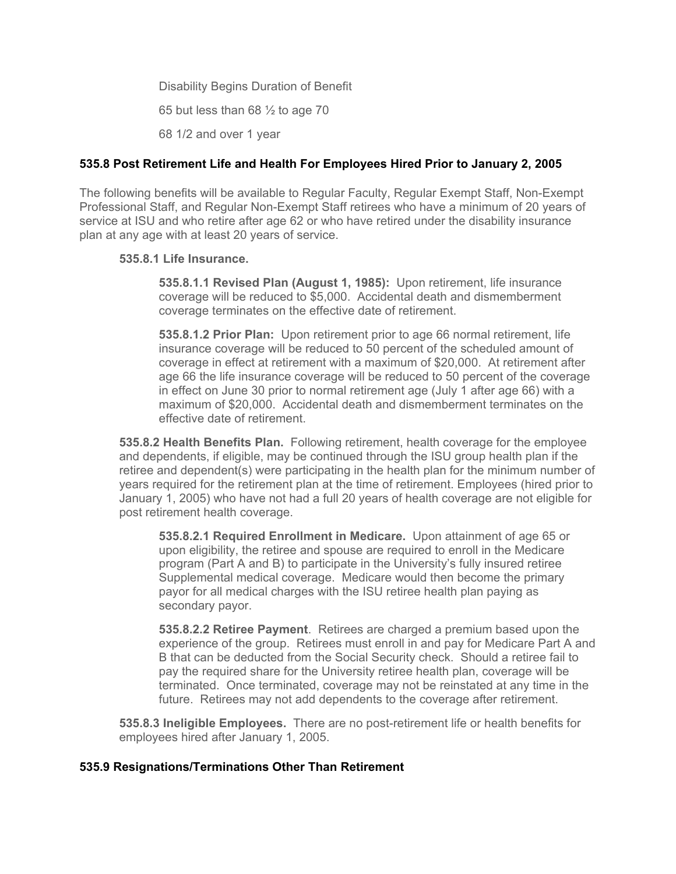Disability Begins Duration of Benefit 65 but less than 68  $\frac{1}{2}$  to age 70 68 1/2 and over 1 year

### **535.8 Post Retirement Life and Health For Employees Hired Prior to January 2, 2005**

The following benefits will be available to Regular Faculty, Regular Exempt Staff, Non-Exempt Professional Staff, and Regular Non-Exempt Staff retirees who have a minimum of 20 years of service at ISU and who retire after age 62 or who have retired under the disability insurance plan at any age with at least 20 years of service.

#### **535.8.1 Life Insurance.**

**535.8.1.1 Revised Plan (August 1, 1985):** Upon retirement, life insurance coverage will be reduced to \$5,000. Accidental death and dismemberment coverage terminates on the effective date of retirement.

**535.8.1.2 Prior Plan:** Upon retirement prior to age 66 normal retirement, life insurance coverage will be reduced to 50 percent of the scheduled amount of coverage in effect at retirement with a maximum of \$20,000. At retirement after age 66 the life insurance coverage will be reduced to 50 percent of the coverage in effect on June 30 prior to normal retirement age (July 1 after age 66) with a maximum of \$20,000. Accidental death and dismemberment terminates on the effective date of retirement.

**535.8.2 Health Benefits Plan.** Following retirement, health coverage for the employee and dependents, if eligible, may be continued through the ISU group health plan if the retiree and dependent(s) were participating in the health plan for the minimum number of years required for the retirement plan at the time of retirement. Employees (hired prior to January 1, 2005) who have not had a full 20 years of health coverage are not eligible for post retirement health coverage.

**535.8.2.1 Required Enrollment in Medicare.** Upon attainment of age 65 or upon eligibility, the retiree and spouse are required to enroll in the Medicare program (Part A and B) to participate in the University's fully insured retiree Supplemental medical coverage. Medicare would then become the primary payor for all medical charges with the ISU retiree health plan paying as secondary payor.

**535.8.2.2 Retiree Payment**. Retirees are charged a premium based upon the experience of the group. Retirees must enroll in and pay for Medicare Part A and B that can be deducted from the Social Security check. Should a retiree fail to pay the required share for the University retiree health plan, coverage will be terminated. Once terminated, coverage may not be reinstated at any time in the future. Retirees may not add dependents to the coverage after retirement.

**535.8.3 Ineligible Employees.** There are no post-retirement life or health benefits for employees hired after January 1, 2005.

#### **535.9 Resignations/Terminations Other Than Retirement**